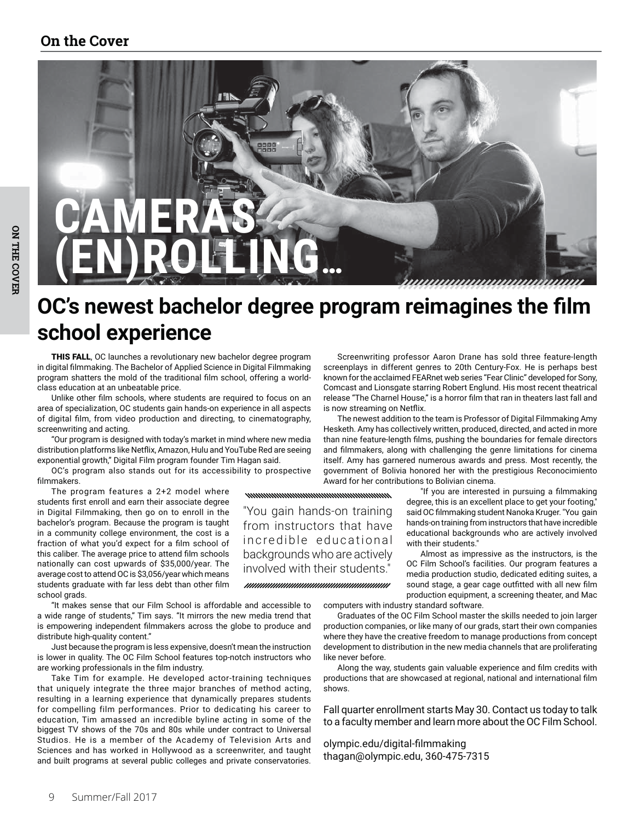# OC's newest bachelor degree program reimagines the film school experience

mummummummummummum

"You gain hands-on training

from instructors that have

incredible educational

backgrounds who are actively

involved with their students."

THIS FALL, OC launches a revolutionary new bachelor degree program in digital filmmaking. The Bachelor of Applied Science in Digital Filmmaking program shatters the mold of the traditional film school, offering a worldclass education at an unbeatable price.

Unlike other film schools, where students are required to focus on an area of specialization, OC students gain hands-on experience in all aspects of digital film, from video production and directing, to cinematography, screenwriting and acting.

"Our program is designed with today's market in mind where new media distribution platforms like Netflix, Amazon, Hulu and YouTube Red are seeing exponential growth," Digital Film program founder Tim Hagan said.

OC's program also stands out for its accessibility to prospective filmmakers.

The program features a 2+2 model where students first enroll and earn their associate degree in Digital Filmmaking, then go on to enroll in the bachelor's program. Because the program is taught in a community college environment, the cost is a fraction of what you'd expect for a film school of this caliber. The average price to attend film schools nationally can cost upwards of \$35,000/year. The average cost to attend OC is \$3,056/year which means students graduate with far less debt than other film school grads.

"It makes sense that our Film School is affordable and accessible to a wide range of students," Tim says. "It mirrors the new media trend that is empowering independent filmmakers across the globe to produce and distribute high-quality content."

Just because the program is less expensive, doesn't mean the instruction is lower in quality. The OC Film School features top-notch instructors who are working professionals in the film industry.

Take Tim for example. He developed actor-training techniques that uniquely integrate the three major branches of method acting, resulting in a learning experience that dynamically prepares students for compelling film performances. Prior to dedicating his career to education, Tim amassed an incredible byline acting in some of the biggest TV shows of the 70s and 80s while under contract to Universal Studios. He is a member of the Academy of Television Arts and Sciences and has worked in Hollywood as a screenwriter, and taught and built programs at several public colleges and private conservatories.

Screenwriting professor Aaron Drane has sold three feature-length screenplays in different genres to 20th Century-Fox. He is perhaps best known for the acclaimed FEARnet web series "Fear Clinic" developed for Sony, Comcast and Lionsgate starring Robert Englund. His most recent theatrical release "The Charnel House," is a horror film that ran in theaters last fall and is now streaming on Netflix.

The newest addition to the team is Professor of Digital Filmmaking Amy Hesketh. Amy has collectively written, produced, directed, and acted in more than nine feature-length films, pushing the boundaries for female directors and filmmakers, along with challenging the genre limitations for cinema itself. Amy has garnered numerous awards and press. Most recently, the government of Bolivia honored her with the prestigious Reconocimiento Award for her contributions to Bolivian cinema.

> "If you are interested in pursuing a filmmaking degree, this is an excellent place to get your footing," said OC filmmaking student Nanoka Kruger. "You gain hands-on training from instructors that have incredible educational backgrounds who are actively involved with their students."

,,,,,,,,,,,,,,,,,,,,,,,,,,,,,,,,

Almost as impressive as the instructors, is the OC Film School's facilities. Our program features a media production studio, dedicated editing suites, a sound stage, a gear cage outfitted with all new film production equipment, a screening theater, and Mac

computers with industry standard software.

Graduates of the OC Film School master the skills needed to join larger production companies, or like many of our grads, start their own companies where they have the creative freedom to manage productions from concept development to distribution in the new media channels that are proliferating like never before.

Along the way, students gain valuable experience and film credits with productions that are showcased at regional, national and international film shows

Fall quarter enrollment starts May 30. Contact us today to talk to a faculty member and learn more about the OC Film School.

olympic.edu/digital-filmmaking thagan@olympic.edu, 360-475-7315